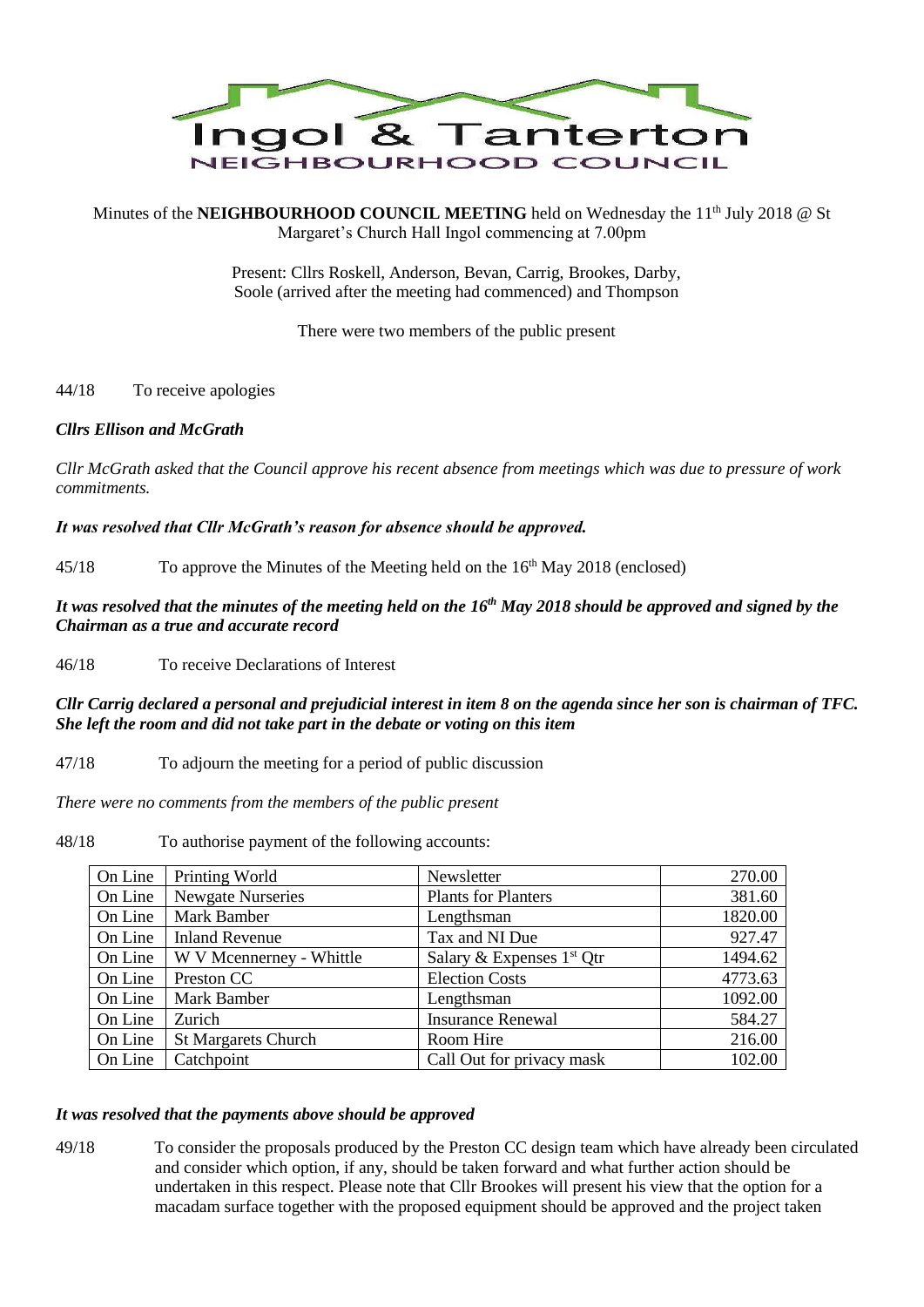

Minutes of the **NEIGHBOURHOOD COUNCIL MEETING** held on Wednesday the 11<sup>th</sup> July 2018 @ St Margaret's Church Hall Ingol commencing at 7.00pm

> Present: Cllrs Roskell, Anderson, Bevan, Carrig, Brookes, Darby, Soole (arrived after the meeting had commenced) and Thompson

> > There were two members of the public present

# 44/18 To receive apologies

### *Cllrs Ellison and McGrath*

*Cllr McGrath asked that the Council approve his recent absence from meetings which was due to pressure of work commitments.*

*It was resolved that Cllr McGrath's reason for absence should be approved.*

45/18 To approve the Minutes of the Meeting held on the 16<sup>th</sup> May 2018 (enclosed)

*It was resolved that the minutes of the meeting held on the 16th May 2018 should be approved and signed by the Chairman as a true and accurate record*

46/18 To receive Declarations of Interest

*Cllr Carrig declared a personal and prejudicial interest in item 8 on the agenda since her son is chairman of TFC. She left the room and did not take part in the debate or voting on this item*

47/18 To adjourn the meeting for a period of public discussion

*There were no comments from the members of the public present*

48/18 To authorise payment of the following accounts:

| On Line | Printing World             | Newsletter                  | 270.00  |
|---------|----------------------------|-----------------------------|---------|
| On Line | <b>Newgate Nurseries</b>   | <b>Plants for Planters</b>  | 381.60  |
| On Line | Mark Bamber                | Lengthsman                  | 1820.00 |
| On Line | <b>Inland Revenue</b>      | Tax and NI Due              | 927.47  |
| On Line | W V Mcennerney - Whittle   | Salary & Expenses $1st$ Qtr | 1494.62 |
| On Line | Preston CC                 | <b>Election Costs</b>       | 4773.63 |
| On Line | <b>Mark Bamber</b>         | Lengthsman                  | 1092.00 |
| On Line | Zurich                     | <b>Insurance Renewal</b>    | 584.27  |
| On Line | <b>St Margarets Church</b> | Room Hire                   | 216.00  |
| On Line | Catchpoint                 | Call Out for privacy mask   | 102.00  |

### *It was resolved that the payments above should be approved*

49/18 To consider the proposals produced by the Preston CC design team which have already been circulated and consider which option, if any, should be taken forward and what further action should be undertaken in this respect. Please note that Cllr Brookes will present his view that the option for a macadam surface together with the proposed equipment should be approved and the project taken